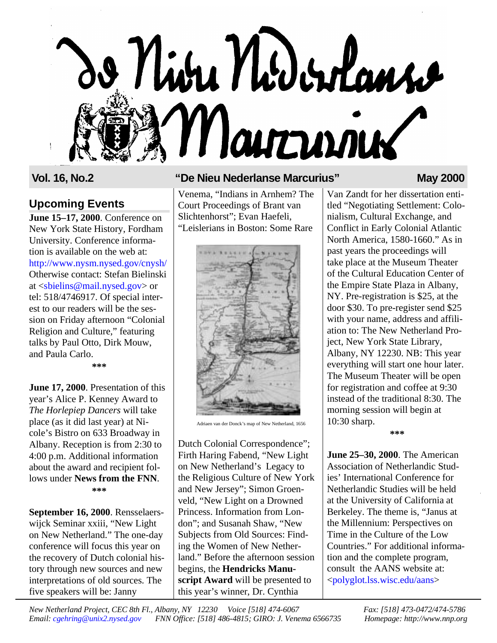# o Nivu Niderlans Marrinier

# **Upcoming Events**

**June 15–17, 2000**. Conference on New York State History, Fordham University. Conference information is available on the web at: <http://www.nysm.nysed.gov/cnysh/> Otherwise contact: Stefan Bielinski at [<sbielins@mail.nysed.gov>](mailto:sbielins@mail.nysed.gov) or tel: 518/4746917. Of special interest to our readers will be the session on Friday afternoon "Colonial Religion and Culture," featuring talks by Paul Otto, Dirk Mouw, and Paula Carlo.

**\*\*\***

**June 17, 2000**. Presentation of this year's Alice P. Kenney Award to *The Horlepiep Dancers* will take place (as it did last year) at Nicole's Bistro on 633 Broadway in Albany. Reception is from 2:30 to 4:00 p.m. Additional information about the award and recipient follows under **News from the FNN**. **\*\*\***

**September 16, 2000**. Rensselaerswijck Seminar xxiii, "New Light on New Netherland." The one-day conference will focus this year on the recovery of Dutch colonial history through new sources and new interpretations of old sources. The five speakers will be: Janny

#### **Vol. 16, No.2 "De Nieu Nederlanse Marcurius" May 2000**

Venema, "Indians in Arnhem? The Court Proceedings of Brant van Slichtenhorst"; Evan Haefeli, "Leislerians in Boston: Some Rare



Adriaen van der Donck's map of New Netherland, 1656

Dutch Colonial Correspondence"; Firth Haring Fabend, "New Light on New Netherland's Legacy to the Religious Culture of New York and New Jersey"; Simon Groenveld, "New Light on a Drowned Princess. Information from London"; and Susanah Shaw, "New Subjects from Old Sources: Finding the Women of New Netherland." Before the afternoon session begins, the **Hendricks Manuscript Award** will be presented to this year's winner, Dr. Cynthia

Van Zandt for her dissertation entitled "Negotiating Settlement: Colonialism, Cultural Exchange, and Conflict in Early Colonial Atlantic North America, 1580-1660." As in past years the proceedings will take place at the Museum Theater of the Cultural Education Center of the Empire State Plaza in Albany, NY. Pre-registration is \$25, at the door \$30. To pre-register send \$25 with your name, address and affiliation to: The New Netherland Project, New York State Library, Albany, NY 12230. NB: This year everything will start one hour later. The Museum Theater will be open for registration and coffee at 9:30 instead of the traditional 8:30. The morning session will begin at 10:30 sharp. **\*\*\***

**June 25–30, 2000**. The American Association of Netherlandic Studies' International Conference for Netherlandic Studies will be held at the University of California at Berkeley. The theme is, "Janus at the Millennium: Perspectives on Time in the Culture of the Low Countries." For additional information and the complete program, consult the AANS website at: [<polyglot.lss.wisc.edu/aans>](http://polyglot.lss.wisc.edu/aans)

*New Netherland Project, CEC 8th Fl., Albany, NY 12230 Voice [518] 474-6067 Fax: [518] 473-0472/474-5786 Email: [cgehring@unix2.nysed.gov](mailto:cgehring@unix2.nysed.gov) FNN Office: [518] 486-4815; GIRO: J. Venema 6566735 Homepage: http://www.nnp.org*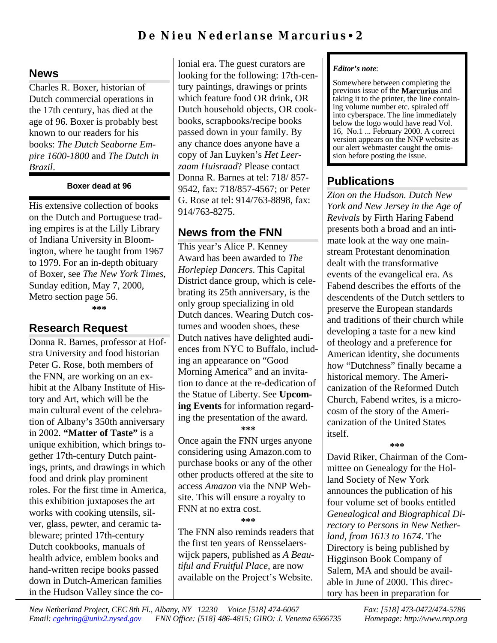## **News**

Charles R. Boxer, historian of Dutch commercial operations in the 17th century, has died at the age of 96. Boxer is probably best known to our readers for his books: *The Dutch Seaborne Empire 1600-1800* and *The Dutch in Brazil*.

#### **Boxer dead at 96**

His extensive collection of books on the Dutch and Portuguese trading empires is at the Lilly Library of Indiana University in Bloomington, where he taught from 1967 to 1979. For an in-depth obituary of Boxer, see *The New York Times*, Sunday edition, May 7, 2000, Metro section page 56. **\*\*\***

# **Research Request**

Donna R. Barnes, professor at Hofstra University and food historian Peter G. Rose, both members of the FNN, are working on an exhibit at the Albany Institute of History and Art, which will be the main cultural event of the celebration of Albany's 350th anniversary in 2002. **"Matter of Taste"** is a unique exhibition, which brings together 17th-century Dutch paintings, prints, and drawings in which food and drink play prominent roles. For the first time in America, this exhibition juxtaposes the art works with cooking utensils, silver, glass, pewter, and ceramic tableware; printed 17th-century Dutch cookbooks, manuals of health advice, emblem books and hand-written recipe books passed down in Dutch-American families in the Hudson Valley since the colonial era. The guest curators are looking for the following: 17th-century paintings, drawings or prints which feature food OR drink, OR Dutch household objects, OR cookbooks, scrapbooks/recipe books passed down in your family. By any chance does anyone have a copy of Jan Luyken's *Het Leerzaam Huisraad*? Please contact Donna R. Barnes at tel: 718/ 857- 9542, fax: 718/857-4567; or Peter G. Rose at tel: 914/763-8898, fax: 914/763-8275.

# **News from the FNN**

This year's Alice P. Kenney Award has been awarded to *The Horlepiep Dancers*. This Capital District dance group, which is celebrating its 25th anniversary, is the only group specializing in old Dutch dances. Wearing Dutch costumes and wooden shoes, these Dutch natives have delighted audiences from NYC to Buffalo, including an appearance on "Good Morning America" and an invitation to dance at the re-dedication of the Statue of Liberty. See **Upcoming Events** for information regarding the presentation of the award. **\*\*\***

Once again the FNN urges anyone considering using Amazon.com to purchase books or any of the other other products offered at the site to access *Amazon* via the NNP Website. This will ensure a royalty to FNN at no extra cost.

**\*\*\***

The FNN also reminds readers that the first ten years of Rensselaerswijck papers, published as *A Beautiful and Fruitful Place*, are now available on the Project's Website.

#### *Editor's note*:

Somewhere between completing the previous issue of the **Marcurius** and taking it to the printer, the line containing volume number etc. spiraled off into cyberspace. The line immediately below the logo would have read Vol. 16, No.1 ... February 2000. A correct version appears on the NNP website as our alert webmaster caught the omission before posting the issue.

# **Publications**

*Zion on the Hudson. Dutch New York and New Jersey in the Age of Revivals* by Firth Haring Fabend presents both a broad and an intimate look at the way one mainstream Protestant denomination dealt with the transformative events of the evangelical era. As Fabend describes the efforts of the descendents of the Dutch settlers to preserve the European standards and traditions of their church while developing a taste for a new kind of theology and a preference for American identity, she documents how "Dutchness" finally became a historical memory. The Americanization of the Reformed Dutch Church, Fabend writes, is a microcosm of the story of the Americanization of the United States itself.

#### **\*\*\***

David Riker, Chairman of the Committee on Genealogy for the Holland Society of New York announces the publication of his four volume set of books entitled *Genealogical and Biographical Directory to Persons in New Netherland, from 1613 to 1674*. The Directory is being published by Higginson Book Company of Salem, MA and should be available in June of 2000. This directory has been in preparation for

*New Netherland Project, CEC 8th Fl., Albany, NY 12230 Voice [518] 474-6067 Fax: [518] 473-0472/474-5786 Email: [cgehring@unix2.nysed.gov](mailto:cgehring@unix2.nysed.gov) FNN Office: [518] 486-4815; GIRO: J. Venema 6566735 Homepage: http://www.nnp.org*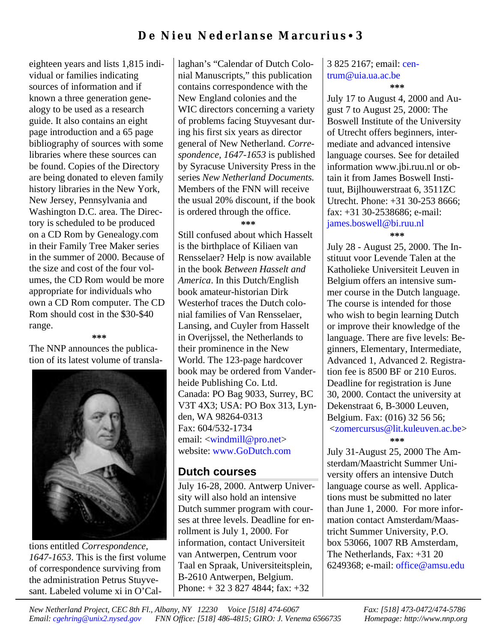eighteen years and lists 1,815 individual or families indicating sources of information and if known a three generation genealogy to be used as a research guide. It also contains an eight page introduction and a 65 page bibliography of sources with some libraries where these sources can be found. Copies of the Directory are being donated to eleven family history libraries in the New York, New Jersey, Pennsylvania and Washington D.C. area. The Directory is scheduled to be produced on a CD Rom by Genealogy.com in their Family Tree Maker series in the summer of 2000. Because of the size and cost of the four volumes, the CD Rom would be more appropriate for individuals who own a CD Rom computer. The CD Rom should cost in the \$30-\$40 range.

**\*\*\***

The NNP announces the publication of its latest volume of transla-



tions entitled *Correspondence, 1647-1653*. This is the first volume of correspondence surviving from the administration Petrus Stuyvesant. Labeled volume xi in O'Cal-

laghan's "Calendar of Dutch Colonial Manuscripts," this publication contains correspondence with the New England colonies and the WIC directors concerning a variety of problems facing Stuyvesant during his first six years as director general of New Netherland. *Correspondence, 1647-1653* is published by Syracuse University Press in the series *New Netherland Documents.* Members of the FNN will receive the usual 20% discount, if the book is ordered through the office.

**\*\*\***

Still confused about which Hasselt is the birthplace of Kiliaen van Rensselaer? Help is now available in the book *Between Hasselt and America*. In this Dutch/English book amateur-historian Dirk Westerhof traces the Dutch colonial families of Van Rensselaer, Lansing, and Cuyler from Hasselt in Overijssel, the Netherlands to their prominence in the New World. The 123-page hardcover book may be ordered from Vanderheide Publishing Co. Ltd. Canada: PO Bag 9033, Surrey, BC V3T 4X3; USA: PO Box 313, Lynden, WA 98264-0313 Fax: 604/532-1734 email: [<windmill@pro.net>](mailto:windmill@pro.net) website: [www.GoDutch.com](http://www.godutch.com)

## **Dutch courses**

July 16-28, 2000. Antwerp University will also hold an intensive Dutch summer program with courses at three levels. Deadline for enrollment is July 1, 2000. For information, contact Universiteit van Antwerpen, Centrum voor Taal en Spraak, Universiteitsplein, B-2610 Antwerpen, Belgium. Phone: + 32 3 827 4844; fax: +32

#### 3 825 2167; email: [cen](mailto:centrum@uia.us.ac.be)[trum@uia.ua.ac.be](mailto:centrum@uia.ua.ac.be) **\*\*\***

July 17 to August 4, 2000 and August 7 to August 25, 2000: The Boswell Institute of the University of Utrecht offers beginners, intermediate and advanced intensive language courses. See for detailed information www.jbi.ruu.nl or obtain it from James Boswell Instituut, Bijlhouwerstraat 6, 3511ZC Utrecht. Phone: +31 30-253 8666; fax: +31 30-2538686; e-mail: [james.boswell@bi.ruu.nl](mailto:james.boswell@bi.ruu.nl)

#### **\*\*\***

July 28 - August 25, 2000. The Instituut voor Levende Talen at the Katholieke Universiteit Leuven in Belgium offers an intensive summer course in the Dutch language. The course is intended for those who wish to begin learning Dutch or improve their knowledge of the language. There are five levels: Beginners, Elementary, Intermediate, Advanced 1, Advanced 2. Registration fee is 8500 BF or 210 Euros. Deadline for registration is June 30, 2000. Contact the university at Dekenstraat 6, B-3000 Leuven, Belgium. Fax: (016) 32 56 56;  [<zomercursus@lit.kuleuven.ac.be>](mailto:zomercursus@lit.kuleuven.ac.be) **\*\*\***

July 31-August 25, 2000 The Amsterdam/Maastricht Summer University offers an intensive Dutch language course as well. Applications must be submitted no later than June 1, 2000. For more information contact Amsterdam/Maastricht Summer University, P.O. box 53066, 1007 RB Amsterdam, The Netherlands, Fax: +31 20 6249368; e-mail: [office@amsu.edu](mailto:office@amsu.edu)